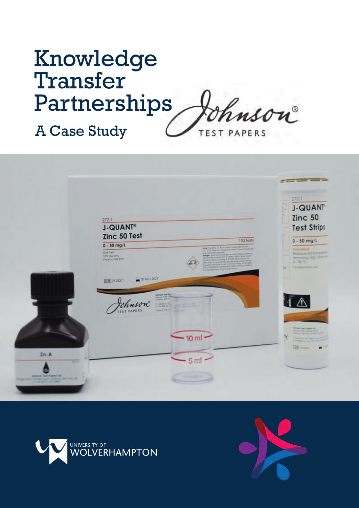# Knowledge Transfer Partnerships inson A Case Study**TEST PAPERS**